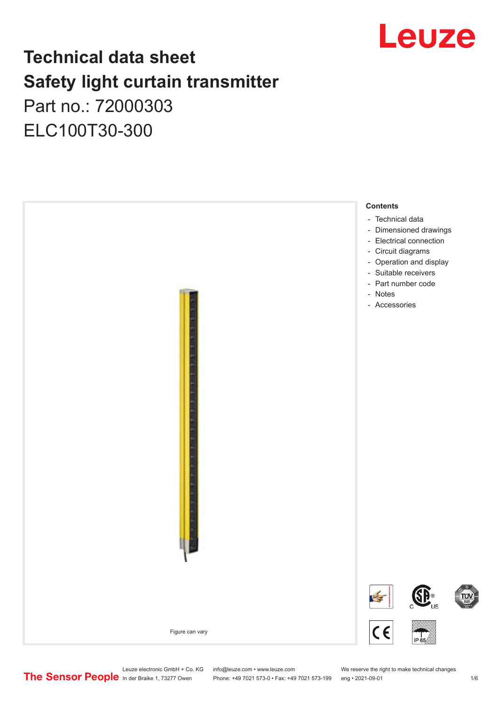

## **Technical data sheet Safety light curtain transmitter** Part no.: 72000303 ELC100T30-300



Leuze electronic GmbH + Co. KG info@leuze.com • www.leuze.com We reserve the right to make technical changes<br>
The Sensor People in der Braike 1, 73277 Owen Phone: +49 7021 573-0 • Fax: +49 7021 573-199 eng • 2021-09-01

Phone: +49 7021 573-0 • Fax: +49 7021 573-199 eng • 2021-09-01 1 2021-09-01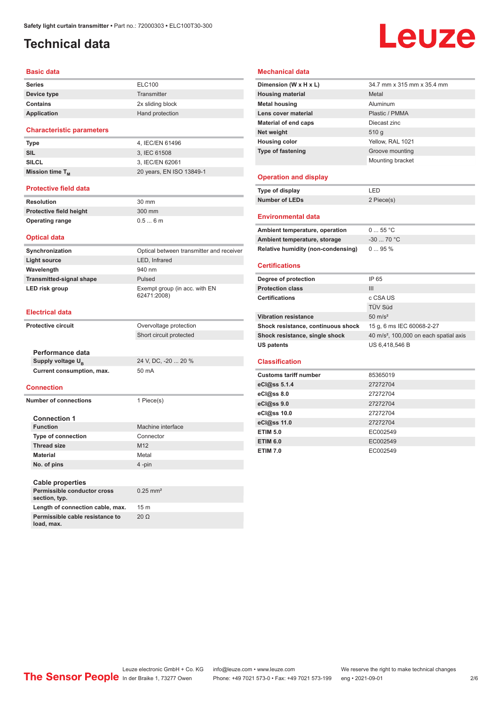## <span id="page-1-0"></span>**Technical data**

### **Basic data**

| <b>Series</b> | <b>ELC100</b>    |
|---------------|------------------|
| Device type   | Transmitter      |
| Contains      | 2x sliding block |
| Application   | Hand protection  |

### **Characteristic parameters**

| Type                        | 4. IEC/EN 61496          |
|-----------------------------|--------------------------|
| <b>SIL</b>                  | 3, IEC 61508             |
| <b>SILCL</b>                | 3. IEC/EN 62061          |
| Mission time T <sub>M</sub> | 20 years, EN ISO 13849-1 |
|                             |                          |

### **Protective field data**

| Resolution              | 30 mm  |
|-------------------------|--------|
| Protective field height | 300 mm |
| <b>Operating range</b>  | 0.56m  |

### **Optical data**

| Synchronization                 | Optical between transmitter and receiver     |
|---------------------------------|----------------------------------------------|
| Light source                    | LED, Infrared                                |
| Wavelength                      | 940 nm                                       |
| <b>Transmitted-signal shape</b> | Pulsed                                       |
| LED risk group                  | Exempt group (in acc. with EN<br>62471:2008) |

### **Electrical data**

**load, max.**

| <b>Protective circuit</b> |                                              | Overvoltage protection  |
|---------------------------|----------------------------------------------|-------------------------|
|                           |                                              | Short circuit protected |
|                           |                                              |                         |
|                           | Performance data                             |                         |
|                           | Supply voltage U <sub>B</sub>                | 24 V, DC, -20  20 %     |
|                           | Current consumption, max.                    | 50 mA                   |
|                           |                                              |                         |
|                           | <b>Connection</b>                            |                         |
|                           | Number of connections                        | 1 Piece(s)              |
|                           |                                              |                         |
|                           | <b>Connection 1</b>                          |                         |
|                           | <b>Function</b>                              | Machine interface       |
|                           | <b>Type of connection</b>                    | Connector               |
|                           | <b>Thread size</b>                           | M <sub>12</sub>         |
|                           | <b>Material</b>                              | Metal                   |
|                           | No. of pins                                  | 4-pin                   |
|                           |                                              |                         |
|                           | <b>Cable properties</b>                      |                         |
|                           | Permissible conductor cross<br>section, typ. | $0.25$ mm <sup>2</sup>  |
|                           | Length of connection cable, max.             | 15 <sub>m</sub>         |
|                           | Permissible cable resistance to              | $20 \Omega$             |

### **Mechanical data**

| Dimension (W x H x L)                                              | 34.7 mm x 315 mm x 35.4 mm                         |
|--------------------------------------------------------------------|----------------------------------------------------|
| <b>Housing material</b>                                            | Metal                                              |
| <b>Metal housing</b>                                               | Aluminum                                           |
| Lens cover material                                                | Plastic / PMMA                                     |
| <b>Material of end caps</b>                                        | Diecast zinc                                       |
| Net weight                                                         | 510q                                               |
| <b>Housing color</b>                                               | Yellow, RAL 1021                                   |
| <b>Type of fastening</b>                                           | Groove mounting                                    |
|                                                                    | Mounting bracket                                   |
|                                                                    |                                                    |
| <b>Operation and display</b>                                       |                                                    |
| Type of display                                                    | LED                                                |
| <b>Number of LEDs</b>                                              | 2 Piece(s)                                         |
| <b>Environmental data</b>                                          |                                                    |
|                                                                    | 055 °C                                             |
| Ambient temperature, operation                                     | $-30$ 70 °C                                        |
| Ambient temperature, storage<br>Relative humidity (non-condensing) | 095%                                               |
|                                                                    |                                                    |
|                                                                    |                                                    |
| <b>Certifications</b>                                              |                                                    |
| Degree of protection                                               | IP 65                                              |
| <b>Protection class</b>                                            | III                                                |
| <b>Certifications</b>                                              | c CSA US                                           |
|                                                                    | TÜV Süd                                            |
| <b>Vibration resistance</b>                                        | $50 \text{ m/s}^2$                                 |
| Shock resistance, continuous shock                                 | 15 g, 6 ms IEC 60068-2-27                          |
| Shock resistance, single shock                                     | 40 m/s <sup>2</sup> , 100,000 on each spatial axis |
| <b>US patents</b>                                                  | US 6,418,546 B                                     |
|                                                                    |                                                    |
| <b>Classification</b>                                              |                                                    |
| <b>Customs tariff number</b>                                       | 85365019                                           |
| eCl@ss 5.1.4                                                       | 27272704                                           |
| eCl@ss 8.0                                                         | 27272704                                           |
| eCl@ss 9.0                                                         | 27272704                                           |
| eCl@ss 10.0                                                        | 27272704                                           |
| eCl@ss 11.0                                                        | 27272704                                           |
| <b>ETIM 5.0</b>                                                    | EC002549                                           |
| <b>ETIM 6.0</b>                                                    | EC002549                                           |

# Leuze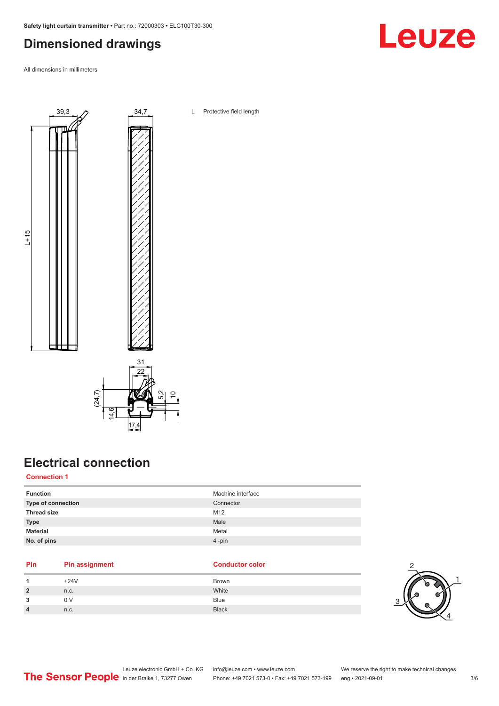## <span id="page-2-0"></span>**Dimensioned drawings**

All dimensions in millimeters



## 17.4 तं ।<br>वं

## **Electrical connection**

**Connection 1**

| <b>Function</b>           | Machine interface |
|---------------------------|-------------------|
| <b>Type of connection</b> | Connector         |
| <b>Thread size</b>        | M12               |
| <b>Type</b>               | Male              |
| <b>Material</b>           | Metal             |
| No. of pins               | $4 - pin$         |

### **Pin Pin assignment Conductor Conductor Color**

| $+24V$ | <b>Brown</b> |
|--------|--------------|
| n.c.   | White        |
| 0 V    | <b>Blue</b>  |
| n.c.   | <b>Black</b> |

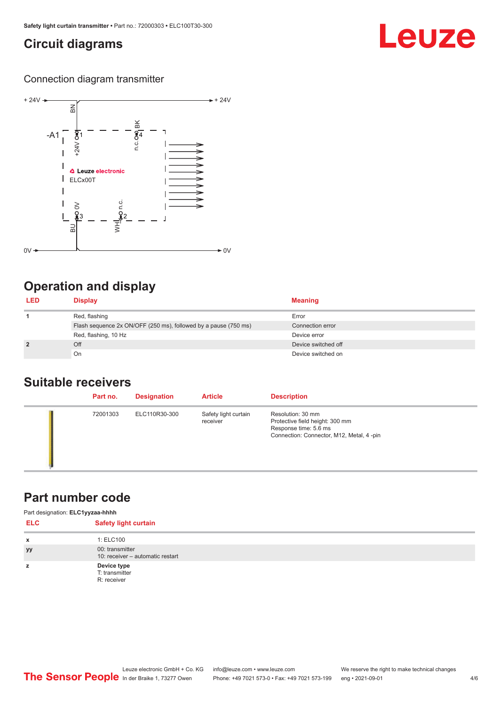### <span id="page-3-0"></span>**Circuit diagrams**

## Leuze

### Connection diagram transmitter



### **Operation and display**

| <b>LED</b>     | <b>Display</b>                                                  | <b>Meaning</b>      |
|----------------|-----------------------------------------------------------------|---------------------|
|                | Red, flashing                                                   | Error               |
|                | Flash sequence 2x ON/OFF (250 ms), followed by a pause (750 ms) | Connection error    |
|                | Red, flashing, 10 Hz                                            | Device error        |
| $\overline{2}$ | Off                                                             | Device switched off |
|                | On                                                              | Device switched on  |

### **Suitable receivers**

| Part no. | <b>Designation</b> | <b>Article</b>                   | <b>Description</b>                                                                                                         |
|----------|--------------------|----------------------------------|----------------------------------------------------------------------------------------------------------------------------|
| 72001303 | ELC110R30-300      | Safety light curtain<br>receiver | Resolution: 30 mm<br>Protective field height: 300 mm<br>Response time: 5.6 ms<br>Connection: Connector, M12, Metal, 4 -pin |

### **Part number code**

| Part designation: ELC1yyzaa-hhhh |                                                     |  |  |
|----------------------------------|-----------------------------------------------------|--|--|
| <b>ELC</b>                       | <b>Safety light curtain</b>                         |  |  |
| x                                | 1: ELC100                                           |  |  |
| yy                               | 00: transmitter<br>10: receiver - automatic restart |  |  |
| z                                | Device type<br>T: transmitter<br>R: receiver        |  |  |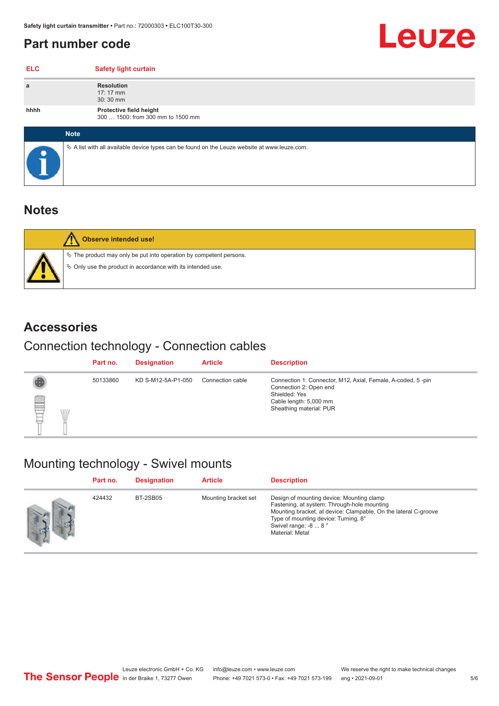### <span id="page-4-0"></span>**Part number code**

| <b>ELC</b> | <b>Safety light curtain</b>                                                                     |
|------------|-------------------------------------------------------------------------------------------------|
| a          | <b>Resolution</b><br>$17:17 \, \text{mm}$<br>30:30 mm                                           |
| hhhh       | Protective field height<br>300  1500: from 300 mm to 1500 mm                                    |
|            | <b>Note</b>                                                                                     |
|            | $\&$ A list with all available device types can be found on the Leuze website at www.leuze.com. |

### **Notes**

| Observe intended use!                                                                                                                     |
|-------------------------------------------------------------------------------------------------------------------------------------------|
| $\%$ The product may only be put into operation by competent persons.<br>$\phi$ Only use the product in accordance with its intended use. |

### **Accessories**

## Connection technology - Connection cables

|        |   | Part no. | <b>Designation</b> | <b>Article</b>   | <b>Description</b>                                                                                                                                          |
|--------|---|----------|--------------------|------------------|-------------------------------------------------------------------------------------------------------------------------------------------------------------|
| ▌<br>Ę | W | 50133860 | KD S-M12-5A-P1-050 | Connection cable | Connection 1: Connector, M12, Axial, Female, A-coded, 5-pin<br>Connection 2: Open end<br>Shielded: Yes<br>Cable length: 5,000 mm<br>Sheathing material: PUR |

## Mounting technology - Swivel mounts

| Part no. | <b>Designation</b> | <b>Article</b>       | <b>Description</b>                                                                                                                                                                                                                             |
|----------|--------------------|----------------------|------------------------------------------------------------------------------------------------------------------------------------------------------------------------------------------------------------------------------------------------|
| 424432   | BT-2SB05           | Mounting bracket set | Design of mounting device: Mounting clamp<br>Fastening, at system: Through-hole mounting<br>Mounting bracket, at device: Clampable, On the lateral C-groove<br>Type of mounting device: Turning, 8°<br>Swivel range: -8  8°<br>Material: Metal |

Leuze